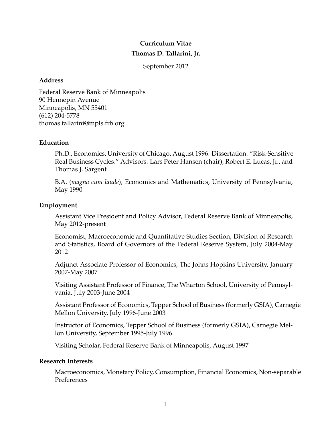# **Curriculum Vitae Thomas D. Tallarini, Jr.**

September 2012

# **Address**

Federal Reserve Bank of Minneapolis 90 Hennepin Avenue Minneapolis, MN 55401 (612) 204-5778 thomas.tallarini@mpls.frb.org

# **Education**

Ph.D., Economics, University of Chicago, August 1996. Dissertation: "Risk-Sensitive Real Business Cycles." Advisors: Lars Peter Hansen (chair), Robert E. Lucas, Jr., and Thomas J. Sargent

B.A. (*magna cum laude*), Economics and Mathematics, University of Pennsylvania, May 1990

# **Employment**

Assistant Vice President and Policy Advisor, Federal Reserve Bank of Minneapolis, May 2012-present

Economist, Macroeconomic and Quantitative Studies Section, Division of Research and Statistics, Board of Governors of the Federal Reserve System, July 2004-May 2012

Adjunct Associate Professor of Economics, The Johns Hopkins University, January 2007-May 2007

Visiting Assistant Professor of Finance, The Wharton School, University of Pennsylvania, July 2003-June 2004

Assistant Professor of Economics, Tepper School of Business (formerly GSIA), Carnegie Mellon University, July 1996-June 2003

Instructor of Economics, Tepper School of Business (formerly GSIA), Carnegie Mellon University, September 1995-July 1996

Visiting Scholar, Federal Reserve Bank of Minneapolis, August 1997

# **Research Interests**

Macroeconomics, Monetary Policy, Consumption, Financial Economics, Non-separable Preferences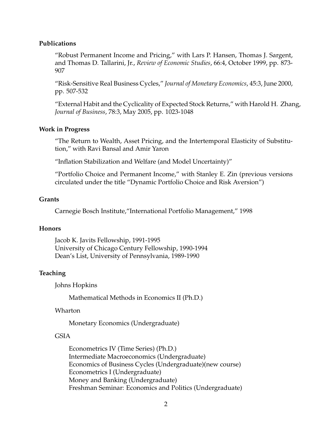#### **Publications**

"Robust Permanent Income and Pricing," with Lars P. Hansen, Thomas J. Sargent, and Thomas D. Tallarini, Jr., *Review of Economic Studies*, 66:4, October 1999, pp. 873- 907

"Risk-Sensitive Real Business Cycles," *Journal of Monetary Economics*, 45:3, June 2000, pp. 507-532

"External Habit and the Cyclicality of Expected Stock Returns," with Harold H. Zhang, *Journal of Business*, 78:3, May 2005, pp. 1023-1048

#### **Work in Progress**

"The Return to Wealth, Asset Pricing, and the Intertemporal Elasticity of Substitution," with Ravi Bansal and Amir Yaron

"Inflation Stabilization and Welfare (and Model Uncertainty)"

"Portfolio Choice and Permanent Income," with Stanley E. Zin (previous versions circulated under the title "Dynamic Portfolio Choice and Risk Aversion")

#### **Grants**

Carnegie Bosch Institute,"International Portfolio Management," 1998

#### **Honors**

Jacob K. Javits Fellowship, 1991-1995 University of Chicago Century Fellowship, 1990-1994 Dean's List, University of Pennsylvania, 1989-1990

### **Teaching**

Johns Hopkins

Mathematical Methods in Economics II (Ph.D.)

Wharton

Monetary Economics (Undergraduate)

#### GSIA

Econometrics IV (Time Series) (Ph.D.) Intermediate Macroeconomics (Undergraduate) Economics of Business Cycles (Undergraduate)(new course) Econometrics I (Undergraduate) Money and Banking (Undergraduate) Freshman Seminar: Economics and Politics (Undergraduate)